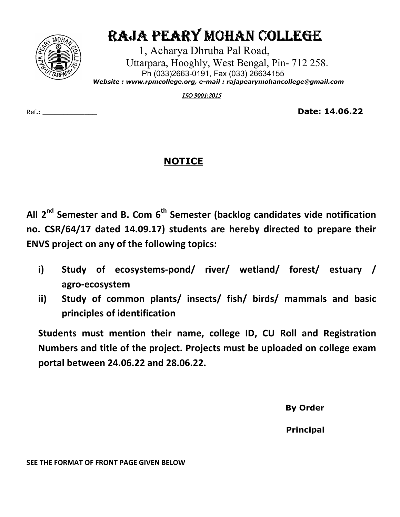

## RAJA PEARY MOHAN COLLEGE

 1, Acharya Dhruba Pal Road, Uttarpara, Hooghly, West Bengal, Pin- 712 258. Ph (033)2663-0191, Fax (033) 26634155  *Website : www.rpmcollege.org, e-mail : rajapearymohancollege@gmail.com*

*ISO 9001:2015* 

Ref**.: \_\_\_\_\_\_\_\_\_\_\_\_\_ Date: 14.06.22**

## **NOTICE**

**All 2nd Semester and B. Com 6th Semester (backlog candidates vide notification no. CSR/64/17 dated 14.09.17) students are hereby directed to prepare their ENVS project on any of the following topics:** 

- **i) Study of ecosystems-pond/ river/ wetland/ forest/ estuary / agro-ecosystem**
- **ii) Study of common plants/ insects/ fish/ birds/ mammals and basic principles of identification**

**Students must mention their name, college ID, CU Roll and Registration Numbers and title of the project. Projects must be uploaded on college exam portal between 24.06.22 and 28.06.22.** 

**By Order** 

 **Principal** 

**SEE THE FORMAT OF FRONT PAGE GIVEN BELOW**